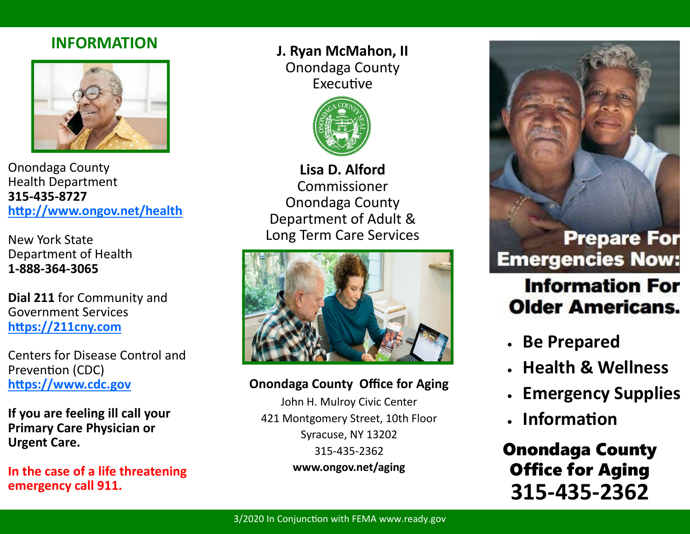### **INFORMATION**



Onondaga County Health Department **315-435-8727 [http://www.ongov.net/health](http://www.ongov.net/health/)**

New York State Department of Health **1-888-364-3065**

**Dial 211** for Community and Government Services **[https://211cny.com](https://211cny.com/)**

Centers for Disease Control and Prevention (CDC) **[https://www.cdc.gov](https://www.cdc.gov/)**

**If you are feeling ill call your Primary Care Physician or Urgent Care.**

**In the case of a life threatening emergency call 911.** 

**J. Ryan McMahon, II** Onondaga County Executive



**Lisa D. Alford** Commissioner Onondaga County Department of Adult & Long Term Care Services



#### **Onondaga County Office for Aging**

John H. Mulroy Civic Center 421 Montgomery Street, 10th Floor Syracuse, NY 13202 315-435-2362 **www.ongov.net/aging**



# **Information For Older Americans.**

- **Be Prepared**
- **Health & Wellness**
- **Emergency Supplies**
- **Information**

Onondaga County Office for Aging **315-435-2362**